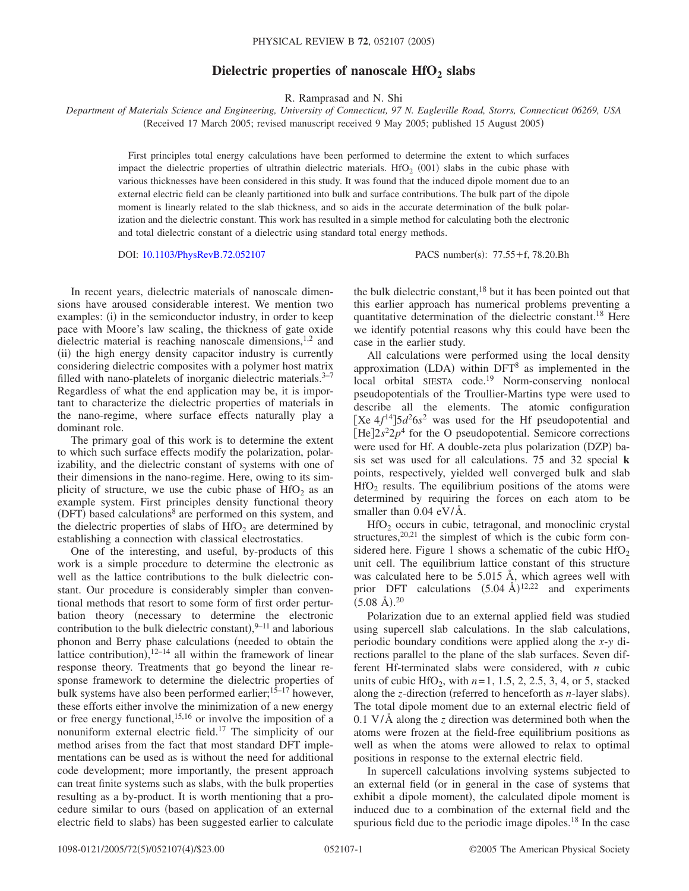## **Dielectric properties of nanoscale HfO<sub>2</sub> slabs**

R. Ramprasad and N. Shi

*Department of Materials Science and Engineering, University of Connecticut, 97 N. Eagleville Road, Storrs, Connecticut 06269, USA* (Received 17 March 2005; revised manuscript received 9 May 2005; published 15 August 2005)

First principles total energy calculations have been performed to determine the extent to which surfaces impact the dielectric properties of ultrathin dielectric materials. HfO<sub>2</sub> (001) slabs in the cubic phase with various thicknesses have been considered in this study. It was found that the induced dipole moment due to an external electric field can be cleanly partitioned into bulk and surface contributions. The bulk part of the dipole moment is linearly related to the slab thickness, and so aids in the accurate determination of the bulk polarization and the dielectric constant. This work has resulted in a simple method for calculating both the electronic and total dielectric constant of a dielectric using standard total energy methods.

DOI: [10.1103/PhysRevB.72.052107](http://dx.doi.org/10.1103/PhysRevB.72.052107)

PACS number(s):  $77.55 + f$ , 78.20.Bh

In recent years, dielectric materials of nanoscale dimensions have aroused considerable interest. We mention two examples: (i) in the semiconductor industry, in order to keep pace with Moore's law scaling, the thickness of gate oxide dielectric material is reaching nanoscale dimensions, $1,2$  and (ii) the high energy density capacitor industry is currently considering dielectric composites with a polymer host matrix filled with nano-platelets of inorganic dielectric materials. $3-7$ Regardless of what the end application may be, it is important to characterize the dielectric properties of materials in the nano-regime, where surface effects naturally play a dominant role.

The primary goal of this work is to determine the extent to which such surface effects modify the polarization, polarizability, and the dielectric constant of systems with one of their dimensions in the nano-regime. Here, owing to its simplicity of structure, we use the cubic phase of  $HfO<sub>2</sub>$  as an example system. First principles density functional theory (DFT) based calculations<sup>8</sup> are performed on this system, and the dielectric properties of slabs of  $HfO<sub>2</sub>$  are determined by establishing a connection with classical electrostatics.

One of the interesting, and useful, by-products of this work is a simple procedure to determine the electronic as well as the lattice contributions to the bulk dielectric constant. Our procedure is considerably simpler than conventional methods that resort to some form of first order perturbation theory (necessary to determine the electronic contribution to the bulk dielectric constant),  $9-11$  and laborious phonon and Berry phase calculations (needed to obtain the lattice contribution),  $12-14$  all within the framework of linear response theory. Treatments that go beyond the linear response framework to determine the dielectric properties of bulk systems have also been performed earlier;<sup>15–17</sup> however, these efforts either involve the minimization of a new energy or free energy functional,<sup>15,16</sup> or involve the imposition of a nonuniform external electric field.17 The simplicity of our method arises from the fact that most standard DFT implementations can be used as is without the need for additional code development; more importantly, the present approach can treat finite systems such as slabs, with the bulk properties resulting as a by-product. It is worth mentioning that a procedure similar to ours (based on application of an external electric field to slabs) has been suggested earlier to calculate

the bulk dielectric constant, $18$  but it has been pointed out that this earlier approach has numerical problems preventing a quantitative determination of the dielectric constant.18 Here we identify potential reasons why this could have been the case in the earlier study.

All calculations were performed using the local density approximation (LDA) within  $DFT^8$  as implemented in the local orbital SIESTA code.<sup>19</sup> Norm-conserving nonlocal pseudopotentials of the Troullier-Martins type were used to describe all the elements. The atomic configuration [Xe  $4f^{14}$ ] $5d^26s^2$  was used for the Hf pseudopotential and  $[He]2s<sup>2</sup>2p<sup>4</sup>$  for the O pseudopotential. Semicore corrections were used for Hf. A double-zeta plus polarization (DZP) basis set was used for all calculations. 75 and 32 special **k** points, respectively, yielded well converged bulk and slab  $HfO<sub>2</sub>$  results. The equilibrium positions of the atoms were determined by requiring the forces on each atom to be smaller than  $0.04 \text{ eV/A}.$ 

 $HfO<sub>2</sub>$  occurs in cubic, tetragonal, and monoclinic crystal structures,  $20,21$  the simplest of which is the cubic form considered here. Figure 1 shows a schematic of the cubic  $HfO<sub>2</sub>$ unit cell. The equilibrium lattice constant of this structure was calculated here to be 5.015 Å, which agrees well with prior DFT calculations  $(5.04 \text{ Å})^{12,22}$  and experiments  $(5.08 \text{ Å})$ .<sup>20</sup>

Polarization due to an external applied field was studied using supercell slab calculations. In the slab calculations, periodic boundary conditions were applied along the *x*-*y* directions parallel to the plane of the slab surfaces. Seven different Hf-terminated slabs were considered, with *n* cubic units of cubic HfO<sub>2</sub>, with  $n=1, 1.5, 2, 2.5, 3, 4$ , or 5, stacked along the *z*-direction (referred to henceforth as *n*-layer slabs). The total dipole moment due to an external electric field of 0.1 V/Å along the *z* direction was determined both when the atoms were frozen at the field-free equilibrium positions as well as when the atoms were allowed to relax to optimal positions in response to the external electric field.

In supercell calculations involving systems subjected to an external field (or in general in the case of systems that exhibit a dipole moment), the calculated dipole moment is induced due to a combination of the external field and the spurious field due to the periodic image dipoles.<sup>18</sup> In the case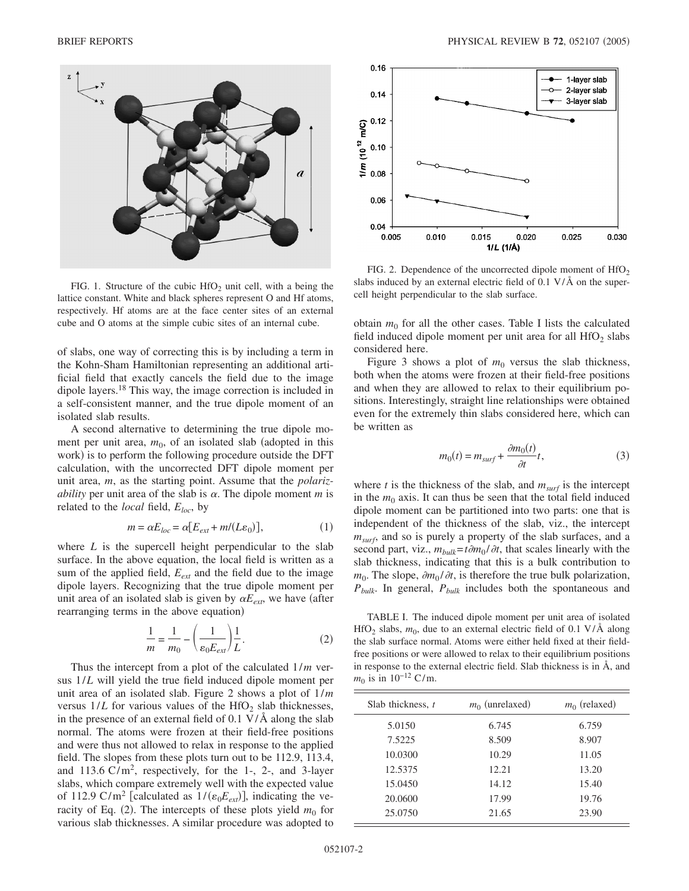

FIG. 1. Structure of the cubic  $HfO<sub>2</sub>$  unit cell, with a being the lattice constant. White and black spheres represent O and Hf atoms, respectively. Hf atoms are at the face center sites of an external cube and O atoms at the simple cubic sites of an internal cube.

of slabs, one way of correcting this is by including a term in the Kohn-Sham Hamiltonian representing an additional artificial field that exactly cancels the field due to the image dipole layers.18 This way, the image correction is included in a self-consistent manner, and the true dipole moment of an isolated slab results.

A second alternative to determining the true dipole moment per unit area,  $m_0$ , of an isolated slab (adopted in this work) is to perform the following procedure outside the DFT calculation, with the uncorrected DFT dipole moment per unit area, *m*, as the starting point. Assume that the *polarizability* per unit area of the slab is  $\alpha$ . The dipole moment *m* is related to the *local* field, *Eloc*, by

$$
m = \alpha E_{loc} = \alpha [E_{ext} + m/(L\varepsilon_0)], \qquad (1)
$$

where *L* is the supercell height perpendicular to the slab surface. In the above equation, the local field is written as a sum of the applied field,  $E_{ext}$  and the field due to the image dipole layers. Recognizing that the true dipole moment per unit area of an isolated slab is given by  $\alpha E_{ext}$ , we have (after rearranging terms in the above equation)

$$
\frac{1}{m} = \frac{1}{m_0} - \left(\frac{1}{\varepsilon_0 E_{ext}}\right) \frac{1}{L}.
$$
 (2)

Thus the intercept from a plot of the calculated 1/*m* versus 1/*L* will yield the true field induced dipole moment per unit area of an isolated slab. Figure 2 shows a plot of 1/*m* versus  $1/L$  for various values of the HfO<sub>2</sub> slab thicknesses, in the presence of an external field of 0.1 V/Å along the slab normal. The atoms were frozen at their field-free positions and were thus not allowed to relax in response to the applied field. The slopes from these plots turn out to be 112.9, 113.4, and  $113.6 \text{ C/m}^2$ , respectively, for the 1-, 2-, and 3-layer slabs, which compare extremely well with the expected value of 112.9 C/m<sup>2</sup> [calculated as  $1/(\varepsilon_0 E_{ext})$ ], indicating the veracity of Eq.  $(2)$ . The intercepts of these plots yield  $m_0$  for various slab thicknesses. A similar procedure was adopted to



FIG. 2. Dependence of the uncorrected dipole moment of  $HfO<sub>2</sub>$ slabs induced by an external electric field of  $0.1 \text{ V/A}$  on the supercell height perpendicular to the slab surface.

obtain  $m_0$  for all the other cases. Table I lists the calculated field induced dipole moment per unit area for all  $HfO<sub>2</sub>$  slabs considered here.

Figure 3 shows a plot of  $m_0$  versus the slab thickness, both when the atoms were frozen at their field-free positions and when they are allowed to relax to their equilibrium positions. Interestingly, straight line relationships were obtained even for the extremely thin slabs considered here, which can be written as

$$
m_0(t) = m_{surf} + \frac{\partial m_0(t)}{\partial t}t,\tag{3}
$$

where  $t$  is the thickness of the slab, and  $m_{surf}$  is the intercept in the  $m_0$  axis. It can thus be seen that the total field induced dipole moment can be partitioned into two parts: one that is independent of the thickness of the slab, viz., the intercept  $m<sub>surf</sub>$ , and so is purely a property of the slab surfaces, and a second part, viz.,  $m_{bulk} = t \partial m_0 / \partial t$ , that scales linearly with the slab thickness, indicating that this is a bulk contribution to  $m_0$ . The slope,  $\partial m_0 / \partial t$ , is therefore the true bulk polarization, *Pbulk*. In general, *Pbulk* includes both the spontaneous and

TABLE I. The induced dipole moment per unit area of isolated HfO<sub>2</sub> slabs,  $m_0$ , due to an external electric field of 0.1 V/Å along the slab surface normal. Atoms were either held fixed at their fieldfree positions or were allowed to relax to their equilibrium positions in response to the external electric field. Slab thickness is in Å, and  $m_0$  is in 10<sup>-12</sup> C/m.

| Slab thickness, t | $m_0$ (unrelaxed) | $m_0$ (relaxed) |
|-------------------|-------------------|-----------------|
| 5.0150            | 6.745             | 6.759           |
| 7.5225            | 8.509             | 8.907           |
| 10.0300           | 10.29             | 11.05           |
| 12.5375           | 12.21             | 13.20           |
| 15.0450           | 14.12             | 15.40           |
| 20.0600           | 17.99             | 19.76           |
| 25.0750           | 21.65             | 23.90           |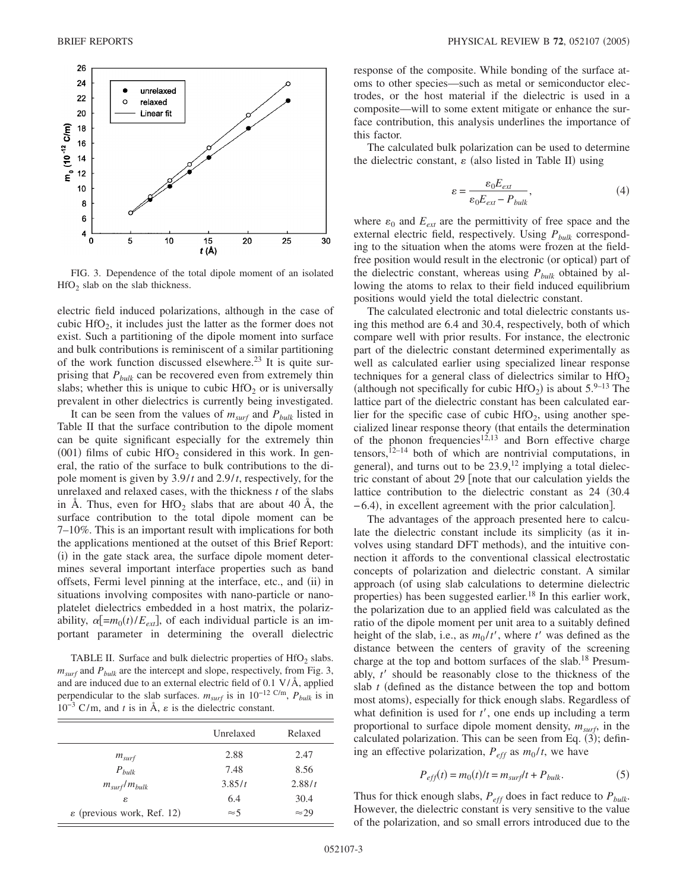

FIG. 3. Dependence of the total dipole moment of an isolated  $HfO<sub>2</sub>$  slab on the slab thickness.

electric field induced polarizations, although in the case of cubic  $HfO<sub>2</sub>$ , it includes just the latter as the former does not exist. Such a partitioning of the dipole moment into surface and bulk contributions is reminiscent of a similar partitioning of the work function discussed elsewhere.<sup>23</sup> It is quite surprising that  $P_{bulk}$  can be recovered even from extremely thin slabs; whether this is unique to cubic  $HfO<sub>2</sub>$  or is universally prevalent in other dielectrics is currently being investigated.

It can be seen from the values of  $m_{surf}$  and  $P_{bulk}$  listed in Table II that the surface contribution to the dipole moment can be quite significant especially for the extremely thin (001) films of cubic  $HfO<sub>2</sub>$  considered in this work. In general, the ratio of the surface to bulk contributions to the dipole moment is given by 3.9/*t* and 2.9/*t*, respectively, for the unrelaxed and relaxed cases, with the thickness *t* of the slabs in Å. Thus, even for  $HfO<sub>2</sub>$  slabs that are about 40 Å, the surface contribution to the total dipole moment can be 7–10%. This is an important result with implications for both the applications mentioned at the outset of this Brief Report: (i) in the gate stack area, the surface dipole moment determines several important interface properties such as band offsets, Fermi level pinning at the interface, etc., and (ii) in situations involving composites with nano-particle or nanoplatelet dielectrics embedded in a host matrix, the polarizability,  $\alpha$ [= $m_0(t)/E_{ext}$ ], of each individual particle is an important parameter in determining the overall dielectric

TABLE II. Surface and bulk dielectric properties of  $HfO<sub>2</sub>$  slabs.  $m<sub>surf</sub>$  and  $P<sub>bulk</sub>$  are the intercept and slope, respectively, from Fig. 3, and are induced due to an external electric field of 0.1 V/Å, applied perpendicular to the slab surfaces. *msurf* is in 10−12 C/m, *Pbulk* is in  $10^{-3}$  C/m, and *t* is in Å,  $\varepsilon$  is the dielectric constant.

|                                        | Unrelaxed   | Relaxed       |
|----------------------------------------|-------------|---------------|
| $m_{surf}$                             | 2.88        | 2.47          |
| $P_{bulk}$                             | 7.48        | 8.56          |
| $m_{surf}/m_{bulk}$                    | 3.85/t      | 2.88/t        |
| ε                                      | 6.4         | 30.4          |
| $\varepsilon$ (previous work, Ref. 12) | $\approx$ 5 | $\approx$ 2.9 |

response of the composite. While bonding of the surface atoms to other species—such as metal or semiconductor electrodes, or the host material if the dielectric is used in a composite—will to some extent mitigate or enhance the surface contribution, this analysis underlines the importance of this factor.

The calculated bulk polarization can be used to determine the dielectric constant,  $\varepsilon$  (also listed in Table II) using

$$
\varepsilon = \frac{\varepsilon_0 E_{ext}}{\varepsilon_0 E_{ext} - P_{bulk}},\tag{4}
$$

where  $\varepsilon_0$  and  $E_{ext}$  are the permittivity of free space and the external electric field, respectively. Using  $P_{bulk}$  corresponding to the situation when the atoms were frozen at the fieldfree position would result in the electronic (or optical) part of the dielectric constant, whereas using  $P_{bulk}$  obtained by allowing the atoms to relax to their field induced equilibrium positions would yield the total dielectric constant.

The calculated electronic and total dielectric constants using this method are 6.4 and 30.4, respectively, both of which compare well with prior results. For instance, the electronic part of the dielectric constant determined experimentally as well as calculated earlier using specialized linear response techniques for a general class of dielectrics similar to  $HfO<sub>2</sub>$ (although not specifically for cubic  $HfO_2$ ) is about 5.<sup>9–13</sup> The lattice part of the dielectric constant has been calculated earlier for the specific case of cubic  $HfO<sub>2</sub>$ , using another specialized linear response theory (that entails the determination of the phonon frequencies<sup>12,13</sup> and Born effective charge  $tensors,$ <sup>12–14</sup> both of which are nontrivial computations, in general), and turns out to be  $23.9$ ,  $12$  implying a total dielectric constant of about  $29$  [note that our calculation yields the lattice contribution to the dielectric constant as 24 (30.4) -6.4), in excellent agreement with the prior calculation].

The advantages of the approach presented here to calculate the dielectric constant include its simplicity (as it involves using standard DFT methods), and the intuitive connection it affords to the conventional classical electrostatic concepts of polarization and dielectric constant. A similar approach (of using slab calculations to determine dielectric properties) has been suggested earlier.<sup>18</sup> In this earlier work, the polarization due to an applied field was calculated as the ratio of the dipole moment per unit area to a suitably defined height of the slab, i.e., as  $m_0/t'$ , where  $t'$  was defined as the distance between the centers of gravity of the screening charge at the top and bottom surfaces of the slab.<sup>18</sup> Presumably, *t* should be reasonably close to the thickness of the slab *t* (defined as the distance between the top and bottom most atoms), especially for thick enough slabs. Regardless of what definition is used for *t'*, one ends up including a term proportional to surface dipole moment density,  $m<sub>surf</sub>$ , in the calculated polarization. This can be seen from Eq.  $(3)$ ; defining an effective polarization,  $P_{eff}$  as  $m_0/t$ , we have

$$
P_{\text{eff}}(t) = m_0(t)/t = m_{\text{surf}}/t + P_{\text{bulk}}.\tag{5}
$$

Thus for thick enough slabs,  $P_{\text{eff}}$  does in fact reduce to  $P_{\text{bulk}}$ . However, the dielectric constant is very sensitive to the value of the polarization, and so small errors introduced due to the